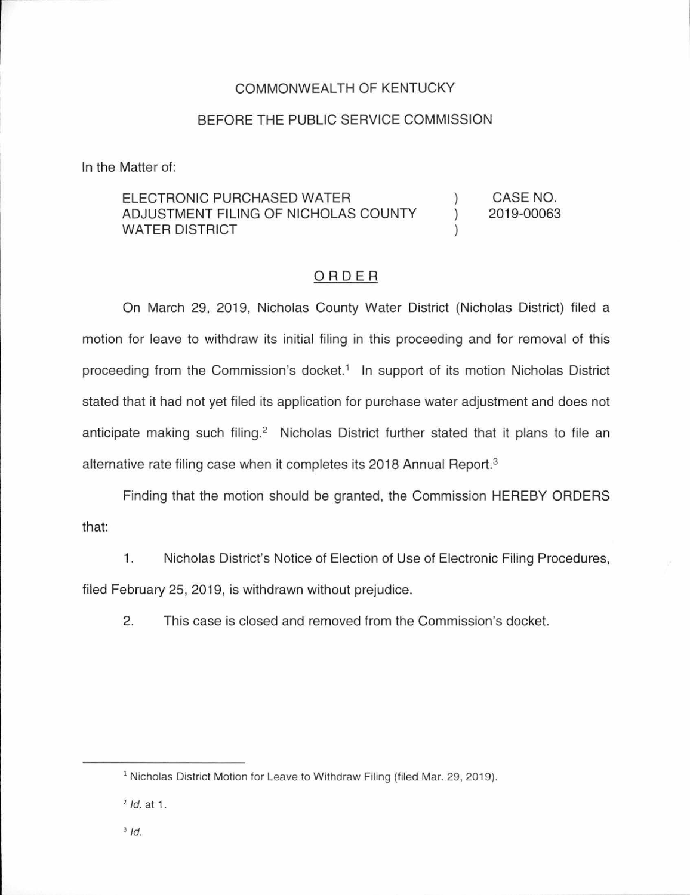## COMMONWEALTH OF KENTUCKY

## BEFORE THE PUBLIC SERVICE COMMISSION

In the Matter of:

## ELECTRONIC PURCHASED WATER ADJUSTMENT FILING OF NICHOLAS COUNTY WATER DISTRICT )  $\mathcal{L}$ ) CASE NO. 2019-00063

## ORDER

On March 29, 2019, Nicholas County Water District (Nicholas District) filed a motion for leave to withdraw its initial filing in this proceeding and for removal of this proceeding from the Commission's docket.<sup>1</sup> In support of its motion Nicholas District stated that it had not yet filed its application for purchase water adjustment and does not anticipate making such filing.<sup>2</sup> Nicholas District further stated that it plans to file an alternative rate filing case when it completes its 2018 Annual Report.<sup>3</sup>

Finding that the motion should be granted, the Commission HEREBY ORDERS that:

1. Nicholas District's Notice of Election of Use of Electronic Filing Procedures, filed February 25, 2019, is withdrawn without prejudice.

2. This case is closed and removed from the Commission's docket.

<sup>&</sup>lt;sup>1</sup> Nicholas District Motion for Leave to Withdraw Filing (filed Mar. 29, 2019).

 $2$  *ld.* at 1.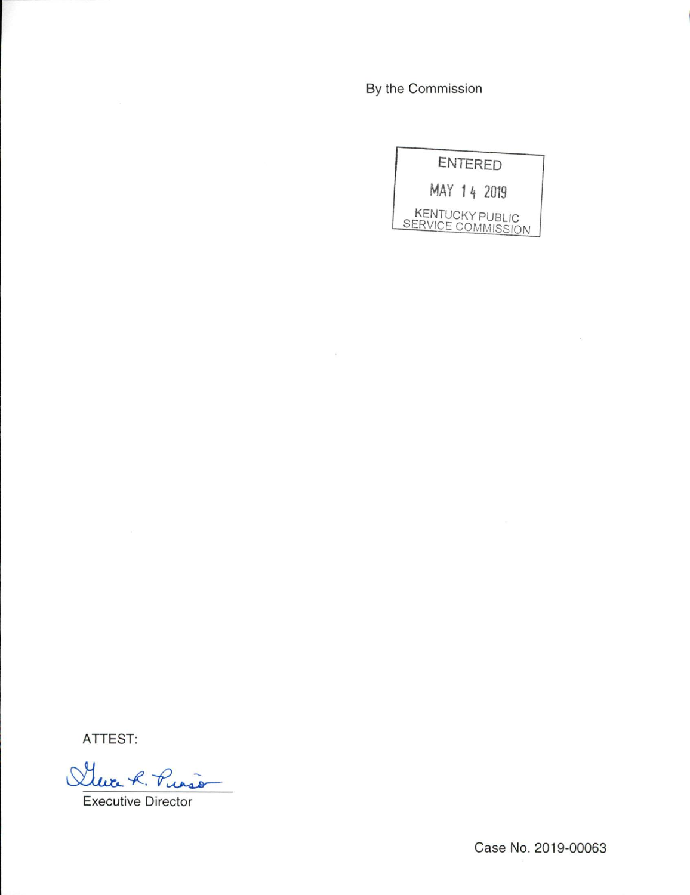By the Commission

|  | <b>ENTERED</b>                               |
|--|----------------------------------------------|
|  | MAY 14 2019                                  |
|  | <b>KENTUCKY PUBLIC</b><br>SERVICE COMMISSION |

ATTEST:

Que R. Puis

Executive Director

Case No. 2019-00063